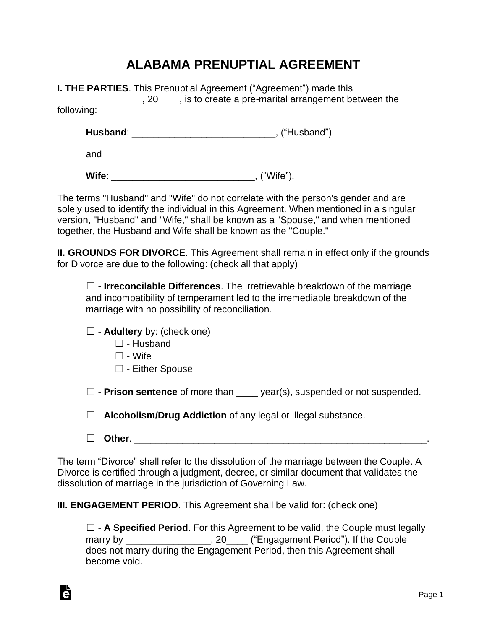## **ALABAMA PRENUPTIAL AGREEMENT**

|            | <b>I. THE PARTIES.</b> This Prenuptial Agreement ("Agreement") made this<br>$\Box$ , 20 $\Box$ , is to create a pre-marital arrangement between the |
|------------|-----------------------------------------------------------------------------------------------------------------------------------------------------|
| following: |                                                                                                                                                     |
|            | , ("Husband")                                                                                                                                       |
| and        |                                                                                                                                                     |
| Wife:      | ("Wife").                                                                                                                                           |

The terms "Husband" and "Wife" do not correlate with the person's gender and are solely used to identify the individual in this Agreement. When mentioned in a singular version, "Husband" and "Wife," shall be known as a "Spouse," and when mentioned together, the Husband and Wife shall be known as the "Couple."

**II. GROUNDS FOR DIVORCE**. This Agreement shall remain in effect only if the grounds for Divorce are due to the following: (check all that apply)

☐ - **Irreconcilable Differences**. The irretrievable breakdown of the marriage and incompatibility of temperament led to the irremediable breakdown of the marriage with no possibility of reconciliation.

☐ - **Adultery** by: (check one)

- ☐ Husband
- $\Box$  Wife
- ☐ Either Spouse

☐ - **Prison sentence** of more than \_\_\_\_ year(s), suspended or not suspended.

☐ - **Alcoholism/Drug Addiction** of any legal or illegal substance.

☐ - **Other**. \_\_\_\_\_\_\_\_\_\_\_\_\_\_\_\_\_\_\_\_\_\_\_\_\_\_\_\_\_\_\_\_\_\_\_\_\_\_\_\_\_\_\_\_\_\_\_\_\_\_\_\_\_\_\_.

The term "Divorce" shall refer to the dissolution of the marriage between the Couple. A Divorce is certified through a judgment, decree, or similar document that validates the dissolution of marriage in the jurisdiction of Governing Law.

**III. ENGAGEMENT PERIOD**. This Agreement shall be valid for: (check one)

☐ - **A Specified Period**. For this Agreement to be valid, the Couple must legally marry by \_\_\_\_\_\_\_\_\_\_\_\_\_\_\_, 20\_\_\_\_ ("Engagement Period"). If the Couple does not marry during the Engagement Period, then this Agreement shall become void.

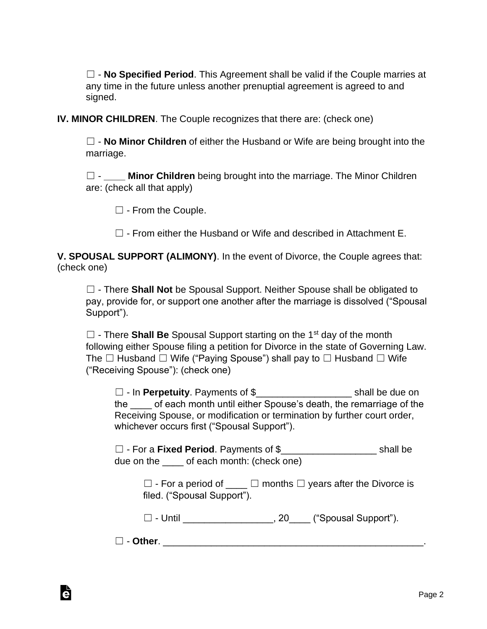☐ - **No Specified Period**. This Agreement shall be valid if the Couple marries at any time in the future unless another prenuptial agreement is agreed to and signed.

**IV. MINOR CHILDREN**. The Couple recognizes that there are: (check one)

☐ - **No Minor Children** of either the Husband or Wife are being brought into the marriage.

□ - **Minor Children** being brought into the marriage. The Minor Children are: (check all that apply)

☐ - From the Couple.

 $\Box$  - From either the Husband or Wife and described in Attachment F.

**V. SPOUSAL SUPPORT (ALIMONY)**. In the event of Divorce, the Couple agrees that: (check one)

☐ - There **Shall Not** be Spousal Support. Neither Spouse shall be obligated to pay, provide for, or support one another after the marriage is dissolved ("Spousal Support").

☐ - There **Shall Be** Spousal Support starting on the 1st day of the month following either Spouse filing a petition for Divorce in the state of Governing Law. The  $\Box$  Husband  $\Box$  Wife ("Paying Spouse") shall pay to  $\Box$  Husband  $\Box$  Wife ("Receiving Spouse"): (check one)

☐ - In **Perpetuity**. Payments of \$\_\_\_\_\_\_\_\_\_\_\_\_\_\_\_\_\_\_ shall be due on the of each month until either Spouse's death, the remarriage of the Receiving Spouse, or modification or termination by further court order, whichever occurs first ("Spousal Support").

☐ - For a **Fixed Period**. Payments of \$\_\_\_\_\_\_\_\_\_\_\_\_\_\_\_\_\_\_ shall be due on the of each month: (check one)

 $\Box$  - For a period of  $\Box$   $\Box$  months  $\Box$  years after the Divorce is filed. ("Spousal Support").

 $\Box$  - Until  $\Box$  - Until  $\Box$  - Until  $\Box$  - Until  $\Box$  - Until  $\Box$ 

☐ - **Other**. \_\_\_\_\_\_\_\_\_\_\_\_\_\_\_\_\_\_\_\_\_\_\_\_\_\_\_\_\_\_\_\_\_\_\_\_\_\_\_\_\_\_\_\_\_\_\_\_\_.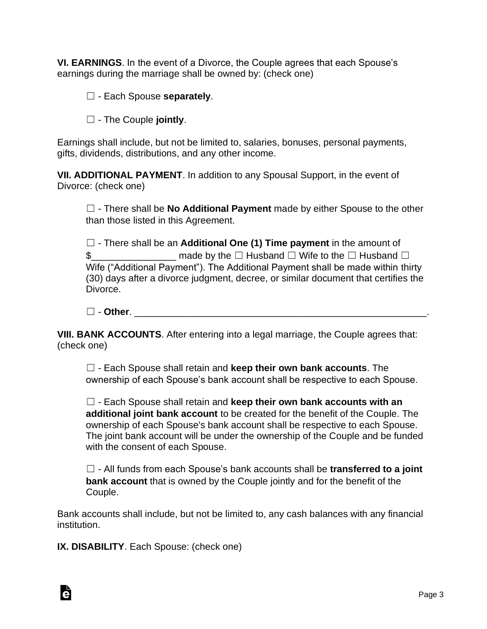**VI. EARNINGS**. In the event of a Divorce, the Couple agrees that each Spouse's earnings during the marriage shall be owned by: (check one)

- ☐ Each Spouse **separately**.
- ☐ The Couple **jointly**.

Earnings shall include, but not be limited to, salaries, bonuses, personal payments, gifts, dividends, distributions, and any other income.

**VII. ADDITIONAL PAYMENT**. In addition to any Spousal Support, in the event of Divorce: (check one)

☐ - There shall be **No Additional Payment** made by either Spouse to the other than those listed in this Agreement.

☐ - There shall be an **Additional One (1) Time payment** in the amount of \$\_\_\_\_\_\_\_\_\_\_\_\_\_\_\_\_ made by the ☐ Husband ☐ Wife to the ☐ Husband ☐ Wife ("Additional Payment"). The Additional Payment shall be made within thirty (30) days after a divorce judgment, decree, or similar document that certifies the Divorce.

☐ - **Other**. \_\_\_\_\_\_\_\_\_\_\_\_\_\_\_\_\_\_\_\_\_\_\_\_\_\_\_\_\_\_\_\_\_\_\_\_\_\_\_\_\_\_\_\_\_\_\_\_\_\_\_\_\_\_\_.

**VIII. BANK ACCOUNTS**. After entering into a legal marriage, the Couple agrees that: (check one)

☐ - Each Spouse shall retain and **keep their own bank accounts**. The ownership of each Spouse's bank account shall be respective to each Spouse.

☐ - Each Spouse shall retain and **keep their own bank accounts with an additional joint bank account** to be created for the benefit of the Couple. The ownership of each Spouse's bank account shall be respective to each Spouse. The joint bank account will be under the ownership of the Couple and be funded with the consent of each Spouse.

☐ - All funds from each Spouse's bank accounts shall be **transferred to a joint bank account** that is owned by the Couple jointly and for the benefit of the Couple.

Bank accounts shall include, but not be limited to, any cash balances with any financial institution.

**IX. DISABILITY**. Each Spouse: (check one)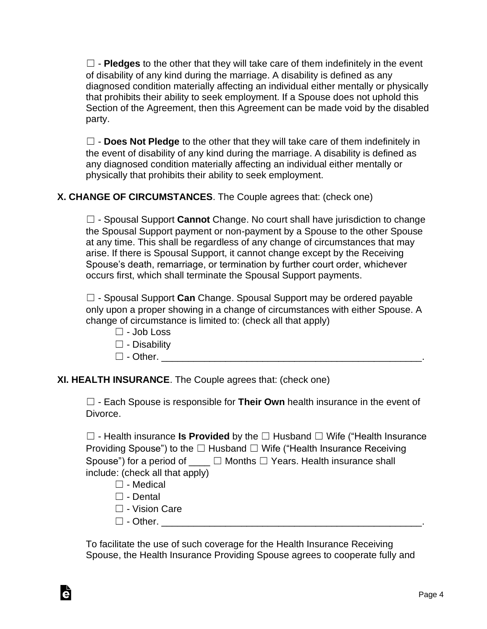$\Box$  - **Pledges** to the other that they will take care of them indefinitely in the event of disability of any kind during the marriage. A disability is defined as any diagnosed condition materially affecting an individual either mentally or physically that prohibits their ability to seek employment. If a Spouse does not uphold this Section of the Agreement, then this Agreement can be made void by the disabled party.

☐ - **Does Not Pledge** to the other that they will take care of them indefinitely in the event of disability of any kind during the marriage. A disability is defined as any diagnosed condition materially affecting an individual either mentally or physically that prohibits their ability to seek employment.

### **X. CHANGE OF CIRCUMSTANCES**. The Couple agrees that: (check one)

☐ - Spousal Support **Cannot** Change. No court shall have jurisdiction to change the Spousal Support payment or non-payment by a Spouse to the other Spouse at any time. This shall be regardless of any change of circumstances that may arise. If there is Spousal Support, it cannot change except by the Receiving Spouse's death, remarriage, or termination by further court order, whichever occurs first, which shall terminate the Spousal Support payments.

☐ - Spousal Support **Can** Change. Spousal Support may be ordered payable only upon a proper showing in a change of circumstances with either Spouse. A change of circumstance is limited to: (check all that apply)

- $\Box$  Job Loss
- $\square$  Disability
- ☐ Other. \_\_\_\_\_\_\_\_\_\_\_\_\_\_\_\_\_\_\_\_\_\_\_\_\_\_\_\_\_\_\_\_\_\_\_\_\_\_\_\_\_\_\_\_\_\_\_\_\_.

**XI. HEALTH INSURANCE**. The Couple agrees that: (check one)

☐ - Each Spouse is responsible for **Their Own** health insurance in the event of Divorce.

☐ - Health insurance **Is Provided** by the ☐ Husband ☐ Wife ("Health Insurance Providing Spouse") to the  $\Box$  Husband  $\Box$  Wife ("Health Insurance Receiving Spouse") for a period of  $\Box$   $\Box$  Months  $\Box$  Years. Health insurance shall include: (check all that apply)

- ☐ Medical
- ☐ Dental

Ġ

- ☐ Vision Care
- ☐ Other. \_\_\_\_\_\_\_\_\_\_\_\_\_\_\_\_\_\_\_\_\_\_\_\_\_\_\_\_\_\_\_\_\_\_\_\_\_\_\_\_\_\_\_\_\_\_\_\_\_.

To facilitate the use of such coverage for the Health Insurance Receiving Spouse, the Health Insurance Providing Spouse agrees to cooperate fully and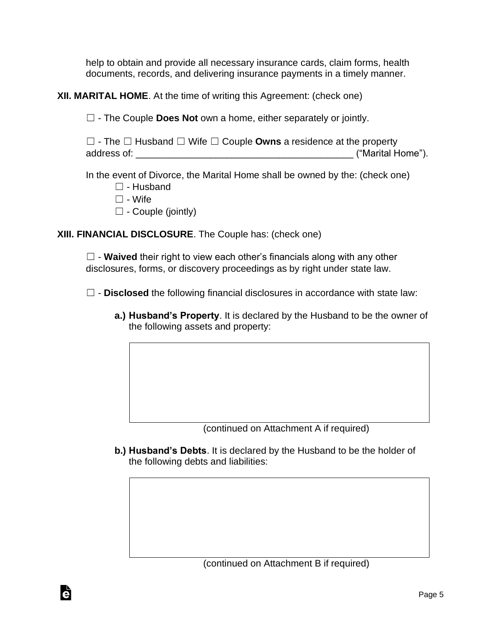help to obtain and provide all necessary insurance cards, claim forms, health documents, records, and delivering insurance payments in a timely manner.

**XII. MARITAL HOME**. At the time of writing this Agreement: (check one)

☐ - The Couple **Does Not** own a home, either separately or jointly.

☐ - The ☐ Husband ☐ Wife ☐ Couple **Owns** a residence at the property address of:  $\blacksquare$ 

In the event of Divorce, the Marital Home shall be owned by the: (check one)

- $\Box$  Husband
- $\Box$  Wife

Ġ

 $\Box$  - Couple (jointly)

**XIII. FINANCIAL DISCLOSURE**. The Couple has: (check one)

□ - **Waived** their right to view each other's financials along with any other disclosures, forms, or discovery proceedings as by right under state law.

☐ - **Disclosed** the following financial disclosures in accordance with state law:

**a.) Husband's Property**. It is declared by the Husband to be the owner of the following assets and property:

(continued on Attachment A if required)

**b.) Husband's Debts**. It is declared by the Husband to be the holder of the following debts and liabilities: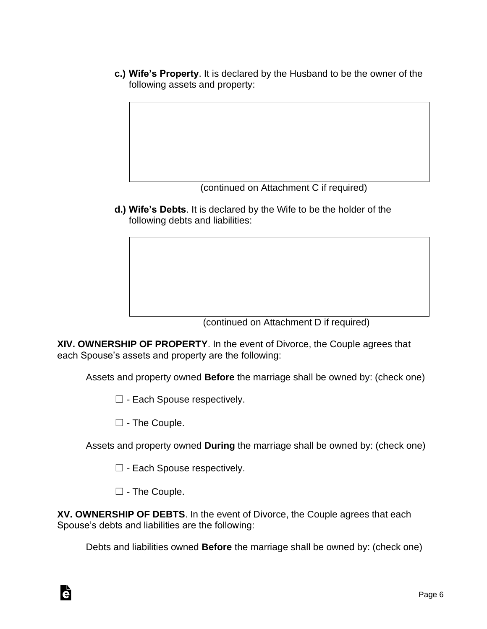**c.) Wife's Property**. It is declared by the Husband to be the owner of the following assets and property:

(continued on Attachment C if required)

**d.) Wife's Debts**. It is declared by the Wife to be the holder of the following debts and liabilities:

(continued on Attachment D if required)

**XIV. OWNERSHIP OF PROPERTY**. In the event of Divorce, the Couple agrees that each Spouse's assets and property are the following:

Assets and property owned **Before** the marriage shall be owned by: (check one)

 $\Box$  - Each Spouse respectively.

☐ - The Couple.

Assets and property owned **During** the marriage shall be owned by: (check one)

- □ Each Spouse respectively.
- ☐ The Couple.

Ġ

**XV. OWNERSHIP OF DEBTS**. In the event of Divorce, the Couple agrees that each Spouse's debts and liabilities are the following:

Debts and liabilities owned **Before** the marriage shall be owned by: (check one)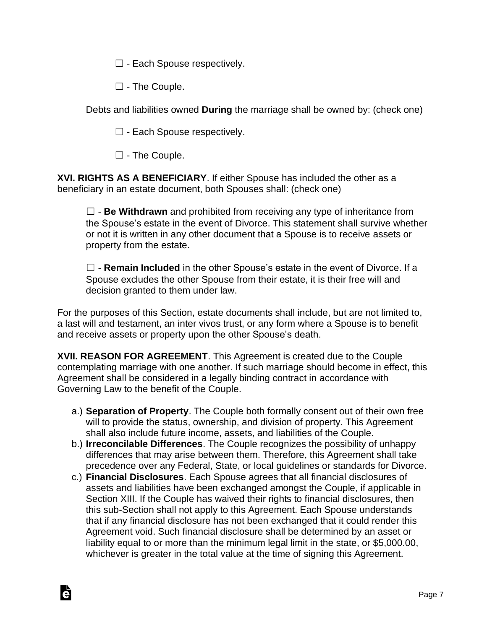$\Box$  - Each Spouse respectively.

☐ - The Couple.

Debts and liabilities owned **During** the marriage shall be owned by: (check one)

 $\Box$  - Each Spouse respectively.

☐ - The Couple.

Ġ

**XVI. RIGHTS AS A BENEFICIARY**. If either Spouse has included the other as a beneficiary in an estate document, both Spouses shall: (check one)

☐ - **Be Withdrawn** and prohibited from receiving any type of inheritance from the Spouse's estate in the event of Divorce. This statement shall survive whether or not it is written in any other document that a Spouse is to receive assets or property from the estate.

☐ - **Remain Included** in the other Spouse's estate in the event of Divorce. If a Spouse excludes the other Spouse from their estate, it is their free will and decision granted to them under law.

For the purposes of this Section, estate documents shall include, but are not limited to, a last will and testament, an inter vivos trust, or any form where a Spouse is to benefit and receive assets or property upon the other Spouse's death.

**XVII. REASON FOR AGREEMENT**. This Agreement is created due to the Couple contemplating marriage with one another. If such marriage should become in effect, this Agreement shall be considered in a legally binding contract in accordance with Governing Law to the benefit of the Couple.

- a.) **Separation of Property**. The Couple both formally consent out of their own free will to provide the status, ownership, and division of property. This Agreement shall also include future income, assets, and liabilities of the Couple.
- b.) **Irreconcilable Differences**. The Couple recognizes the possibility of unhappy differences that may arise between them. Therefore, this Agreement shall take precedence over any Federal, State, or local guidelines or standards for Divorce.
- c.) **Financial Disclosures**. Each Spouse agrees that all financial disclosures of assets and liabilities have been exchanged amongst the Couple, if applicable in Section XIII. If the Couple has waived their rights to financial disclosures, then this sub-Section shall not apply to this Agreement. Each Spouse understands that if any financial disclosure has not been exchanged that it could render this Agreement void. Such financial disclosure shall be determined by an asset or liability equal to or more than the minimum legal limit in the state, or \$5,000.00, whichever is greater in the total value at the time of signing this Agreement.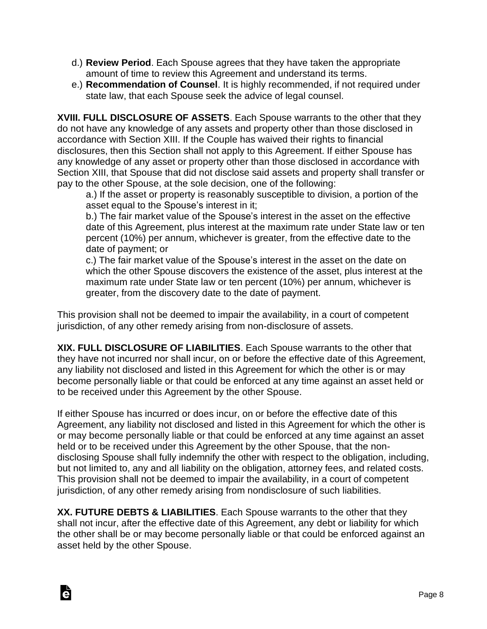- d.) **Review Period**. Each Spouse agrees that they have taken the appropriate amount of time to review this Agreement and understand its terms.
- e.) **Recommendation of Counsel**. It is highly recommended, if not required under state law, that each Spouse seek the advice of legal counsel.

**XVIII. FULL DISCLOSURE OF ASSETS**. Each Spouse warrants to the other that they do not have any knowledge of any assets and property other than those disclosed in accordance with Section XIII. If the Couple has waived their rights to financial disclosures, then this Section shall not apply to this Agreement. If either Spouse has any knowledge of any asset or property other than those disclosed in accordance with Section XIII, that Spouse that did not disclose said assets and property shall transfer or pay to the other Spouse, at the sole decision, one of the following:

a.) If the asset or property is reasonably susceptible to division, a portion of the asset equal to the Spouse's interest in it;

b.) The fair market value of the Spouse's interest in the asset on the effective date of this Agreement, plus interest at the maximum rate under State law or ten percent (10%) per annum, whichever is greater, from the effective date to the date of payment; or

c.) The fair market value of the Spouse's interest in the asset on the date on which the other Spouse discovers the existence of the asset, plus interest at the maximum rate under State law or ten percent (10%) per annum, whichever is greater, from the discovery date to the date of payment.

This provision shall not be deemed to impair the availability, in a court of competent jurisdiction, of any other remedy arising from non-disclosure of assets.

**XIX. FULL DISCLOSURE OF LIABILITIES**. Each Spouse warrants to the other that they have not incurred nor shall incur, on or before the effective date of this Agreement, any liability not disclosed and listed in this Agreement for which the other is or may become personally liable or that could be enforced at any time against an asset held or to be received under this Agreement by the other Spouse.

If either Spouse has incurred or does incur, on or before the effective date of this Agreement, any liability not disclosed and listed in this Agreement for which the other is or may become personally liable or that could be enforced at any time against an asset held or to be received under this Agreement by the other Spouse, that the nondisclosing Spouse shall fully indemnify the other with respect to the obligation, including, but not limited to, any and all liability on the obligation, attorney fees, and related costs. This provision shall not be deemed to impair the availability, in a court of competent jurisdiction, of any other remedy arising from nondisclosure of such liabilities.

**XX. FUTURE DEBTS & LIABILITIES**. Each Spouse warrants to the other that they shall not incur, after the effective date of this Agreement, any debt or liability for which the other shall be or may become personally liable or that could be enforced against an asset held by the other Spouse.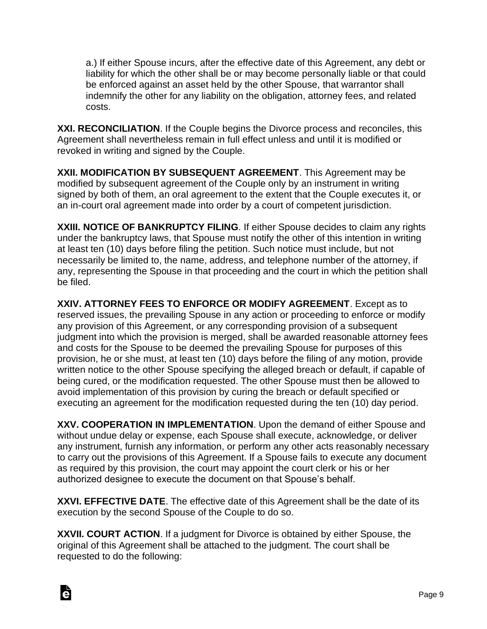a.) If either Spouse incurs, after the effective date of this Agreement, any debt or liability for which the other shall be or may become personally liable or that could be enforced against an asset held by the other Spouse, that warrantor shall indemnify the other for any liability on the obligation, attorney fees, and related costs.

**XXI. RECONCILIATION**. If the Couple begins the Divorce process and reconciles, this Agreement shall nevertheless remain in full effect unless and until it is modified or revoked in writing and signed by the Couple.

**XXII. MODIFICATION BY SUBSEQUENT AGREEMENT**. This Agreement may be modified by subsequent agreement of the Couple only by an instrument in writing signed by both of them, an oral agreement to the extent that the Couple executes it, or an in-court oral agreement made into order by a court of competent jurisdiction.

**XXIII. NOTICE OF BANKRUPTCY FILING**. If either Spouse decides to claim any rights under the bankruptcy laws, that Spouse must notify the other of this intention in writing at least ten (10) days before filing the petition. Such notice must include, but not necessarily be limited to, the name, address, and telephone number of the attorney, if any, representing the Spouse in that proceeding and the court in which the petition shall be filed.

**XXIV. ATTORNEY FEES TO ENFORCE OR MODIFY AGREEMENT**. Except as to reserved issues, the prevailing Spouse in any action or proceeding to enforce or modify any provision of this Agreement, or any corresponding provision of a subsequent judgment into which the provision is merged, shall be awarded reasonable attorney fees and costs for the Spouse to be deemed the prevailing Spouse for purposes of this provision, he or she must, at least ten (10) days before the filing of any motion, provide written notice to the other Spouse specifying the alleged breach or default, if capable of being cured, or the modification requested. The other Spouse must then be allowed to avoid implementation of this provision by curing the breach or default specified or executing an agreement for the modification requested during the ten (10) day period.

**XXV. COOPERATION IN IMPLEMENTATION**. Upon the demand of either Spouse and without undue delay or expense, each Spouse shall execute, acknowledge, or deliver any instrument, furnish any information, or perform any other acts reasonably necessary to carry out the provisions of this Agreement. If a Spouse fails to execute any document as required by this provision, the court may appoint the court clerk or his or her authorized designee to execute the document on that Spouse's behalf.

**XXVI. EFFECTIVE DATE**. The effective date of this Agreement shall be the date of its execution by the second Spouse of the Couple to do so.

**XXVII. COURT ACTION**. If a judgment for Divorce is obtained by either Spouse, the original of this Agreement shall be attached to the judgment. The court shall be requested to do the following: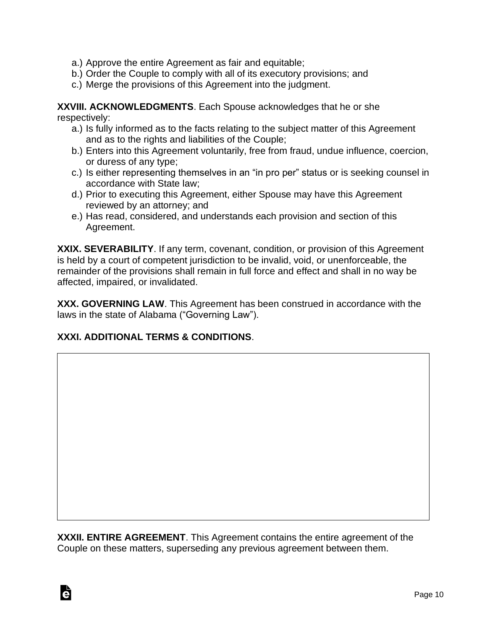- a.) Approve the entire Agreement as fair and equitable;
- b.) Order the Couple to comply with all of its executory provisions; and
- c.) Merge the provisions of this Agreement into the judgment.

**XXVIII. ACKNOWLEDGMENTS**. Each Spouse acknowledges that he or she respectively:

- a.) Is fully informed as to the facts relating to the subject matter of this Agreement and as to the rights and liabilities of the Couple;
- b.) Enters into this Agreement voluntarily, free from fraud, undue influence, coercion, or duress of any type;
- c.) Is either representing themselves in an "in pro per" status or is seeking counsel in accordance with State law;
- d.) Prior to executing this Agreement, either Spouse may have this Agreement reviewed by an attorney; and
- e.) Has read, considered, and understands each provision and section of this Agreement.

**XXIX. SEVERABILITY**. If any term, covenant, condition, or provision of this Agreement is held by a court of competent jurisdiction to be invalid, void, or unenforceable, the remainder of the provisions shall remain in full force and effect and shall in no way be affected, impaired, or invalidated.

**XXX. GOVERNING LAW**. This Agreement has been construed in accordance with the laws in the state of Alabama ("Governing Law").

#### **XXXI. ADDITIONAL TERMS & CONDITIONS**.

Ġ

**XXXII. ENTIRE AGREEMENT**. This Agreement contains the entire agreement of the Couple on these matters, superseding any previous agreement between them.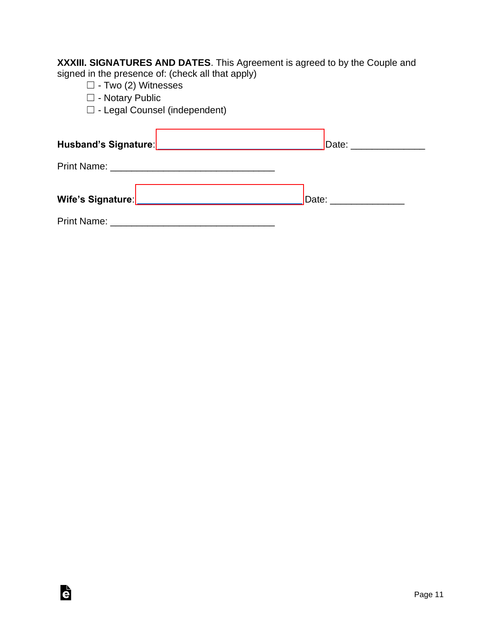**XXXIII. SIGNATURES AND DATES**. This Agreement is agreed to by the Couple and signed in the presence of: (check all that apply)

☐ - Two (2) Witnesses

□ - Notary Public

è

☐ - Legal Counsel (independent)

| Date: __________________ |
|--------------------------|
|                          |
| Date: _____________      |
|                          |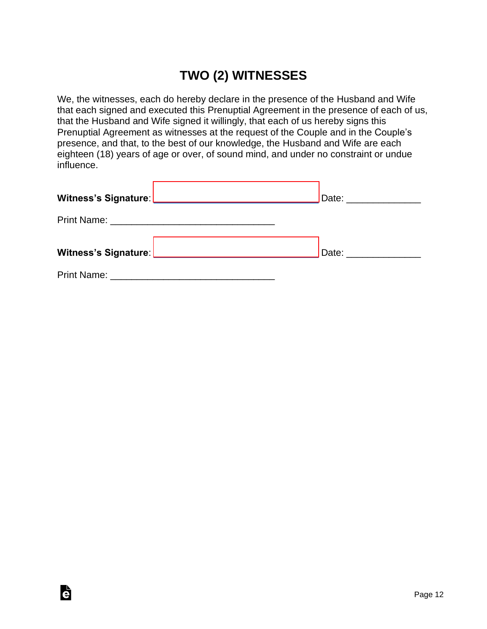# **TWO (2) WITNESSES**

We, the witnesses, each do hereby declare in the presence of the Husband and Wife that each signed and executed this Prenuptial Agreement in the presence of each of us, that the Husband and Wife signed it willingly, that each of us hereby signs this Prenuptial Agreement as witnesses at the request of the Couple and in the Couple's presence, and that, to the best of our knowledge, the Husband and Wife are each eighteen (18) years of age or over, of sound mind, and under no constraint or undue influence.

| Witness's Signature: ________________________________ | Date: __________________ |
|-------------------------------------------------------|--------------------------|
|                                                       |                          |
| Witness's Signature: Witness's Signature:             | Date: ________________   |
|                                                       |                          |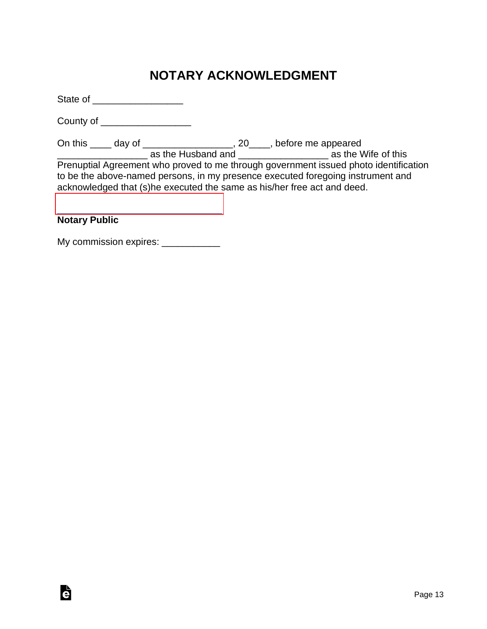# **NOTARY ACKNOWLEDGMENT**

State of \_\_\_\_\_\_\_\_\_\_\_\_\_\_\_\_\_

County of \_\_\_\_\_\_\_\_\_\_\_\_\_\_\_\_\_

On this \_\_\_\_ day of \_\_\_\_\_\_\_\_\_\_\_\_\_\_\_\_\_, 20\_\_\_\_, before me appeared \_\_\_\_\_\_\_\_\_\_\_\_\_\_\_\_\_ as the Husband and \_\_\_\_\_\_\_\_\_\_\_\_\_\_\_\_\_ as the Wife of this Prenuptial Agreement who proved to me through government issued photo identification to be the above-named persons, in my presence executed foregoing instrument and acknowledged that (s)he executed the same as his/her free act and deed.

#### [\\_\\_\\_\\_\\_\\_\\_\\_\\_\\_\\_\\_\\_\\_\\_\\_\\_\\_\\_\\_\\_\\_\\_\\_\\_\\_\\_\\_\\_\\_\\_](https://esign.com/) **Notary Public**

G

| My commission expires: |  |
|------------------------|--|
|                        |  |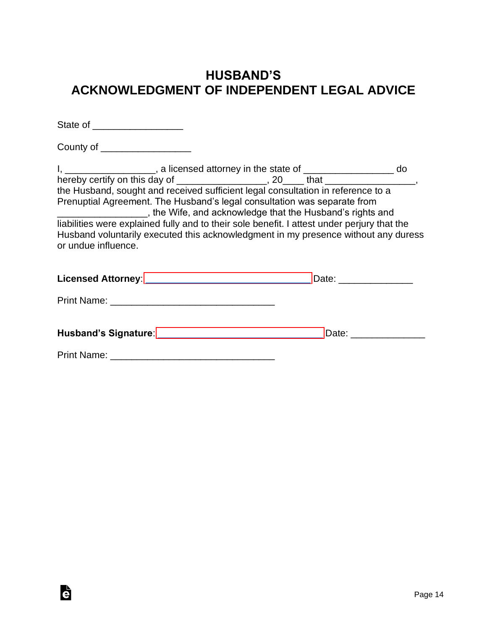## **HUSBAND'S ACKNOWLEDGMENT OF INDEPENDENT LEGAL ADVICE**

| State of ____________________                                                                                                                                                                                                                                                                                                                                                                                           |                                                                                    |
|-------------------------------------------------------------------------------------------------------------------------------------------------------------------------------------------------------------------------------------------------------------------------------------------------------------------------------------------------------------------------------------------------------------------------|------------------------------------------------------------------------------------|
| County of ____________________                                                                                                                                                                                                                                                                                                                                                                                          |                                                                                    |
| I, ___________________, a licensed attorney in the state of __________________ do<br>hereby certify on this day of ___________________, 20____ that ________________,<br>the Husband, sought and received sufficient legal consultation in reference to a<br>Prenuptial Agreement. The Husband's legal consultation was separate from<br>_____________________, the Wife, and acknowledge that the Husband's rights and |                                                                                    |
| liabilities were explained fully and to their sole benefit. I attest under perjury that the<br>or undue influence.                                                                                                                                                                                                                                                                                                      | Husband voluntarily executed this acknowledgment in my presence without any duress |
|                                                                                                                                                                                                                                                                                                                                                                                                                         |                                                                                    |
|                                                                                                                                                                                                                                                                                                                                                                                                                         |                                                                                    |
| Husband's Signature: Management of the Signature of the Signature of the Signature of the Signature of the Signature of the Signature of the Signature of the Signature of the Signature of the Signature of the Signature of                                                                                                                                                                                           | Date: <u>________________</u>                                                      |
| <b>Print Name:</b>                                                                                                                                                                                                                                                                                                                                                                                                      |                                                                                    |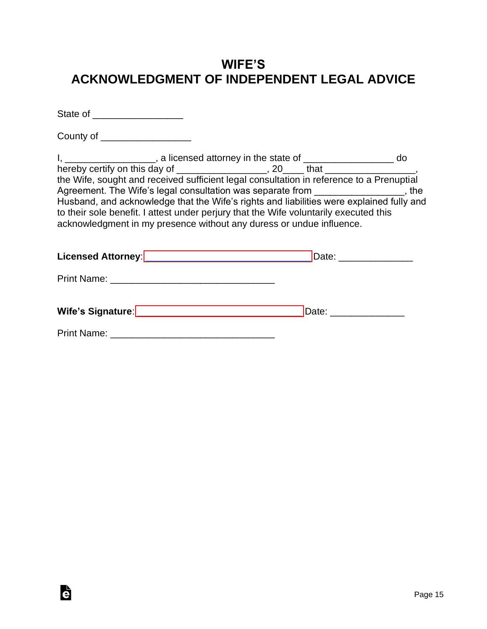## **WIFE'S ACKNOWLEDGMENT OF INDEPENDENT LEGAL ADVICE**

State of **and the state of** 

County of \_\_\_\_\_\_\_\_\_\_\_\_\_\_\_\_\_

Ġ

I, \_\_\_\_\_\_\_\_\_\_\_\_\_\_\_\_, a licensed attorney in the state of \_\_\_\_\_\_\_\_\_\_\_\_\_\_\_\_\_\_ do hereby certify on this day of \_\_\_\_\_\_\_\_\_\_\_\_\_\_\_\_\_\_, 20\_\_\_\_ that \_\_\_\_\_\_\_\_\_\_\_\_\_\_\_\_\_, the Wife, sought and received sufficient legal consultation in reference to a Prenuptial Agreement. The Wife's legal consultation was separate from \_\_\_\_\_\_\_\_\_\_\_\_\_\_\_\_, the Husband, and acknowledge that the Wife's rights and liabilities were explained fully and to their sole benefit. I attest under perjury that the Wife voluntarily executed this acknowledgment in my presence without any duress or undue influence.

| Licensed Attorney: ________________________________ | Date: _______________ |
|-----------------------------------------------------|-----------------------|
|                                                     |                       |
|                                                     | Date: _____________   |
|                                                     |                       |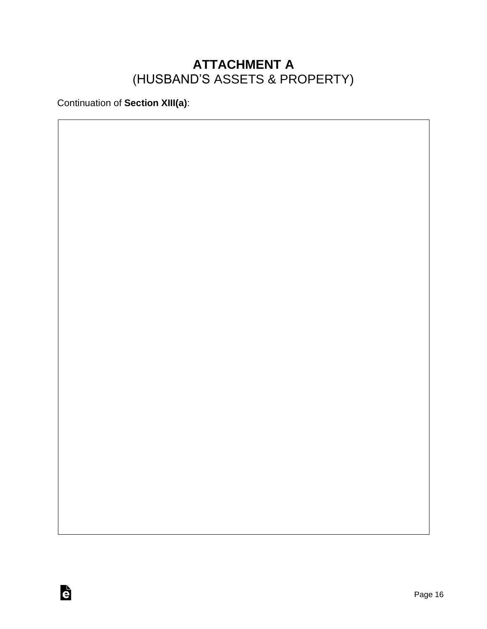## **ATTACHMENT A** (HUSBAND'S ASSETS & PROPERTY)

Continuation of **Section XIII(a)**:

è

Page 16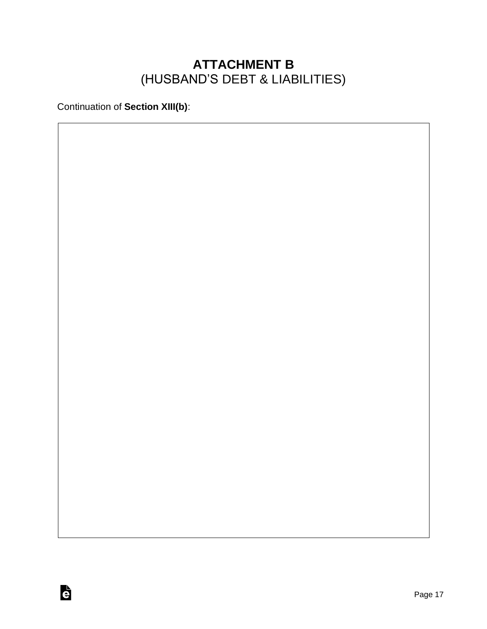## **ATTACHMENT B** (HUSBAND'S DEBT & LIABILITIES)

Continuation of **Section XIII(b)**: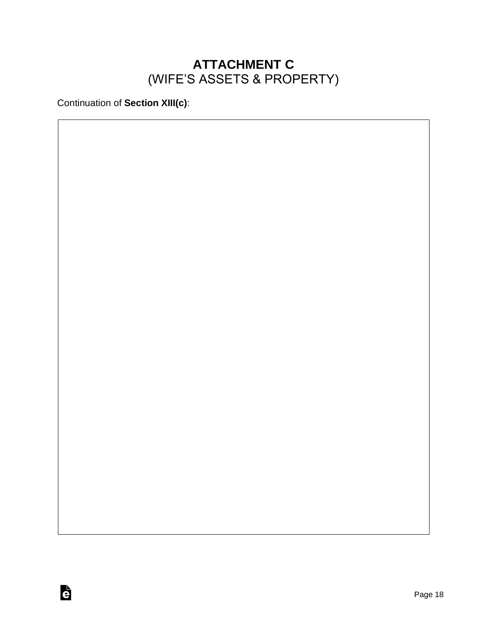## **ATTACHMENT C** (WIFE'S ASSETS & PROPERTY)

Continuation of **Section XIII(c)**: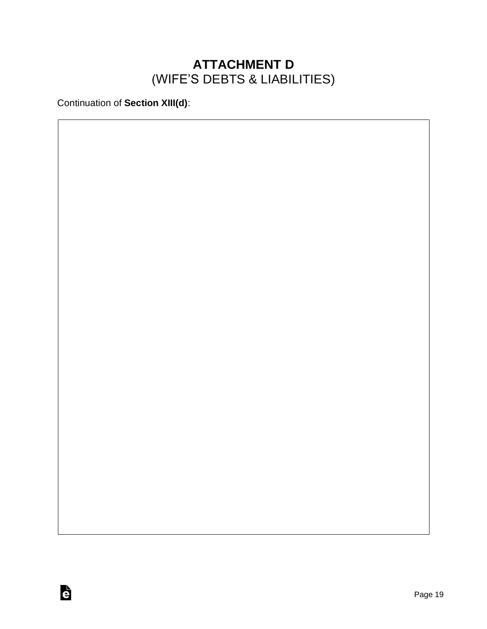## **ATTACHMENT D** (WIFE'S DEBTS & LIABILITIES)

Continuation of **Section XIII(d)**: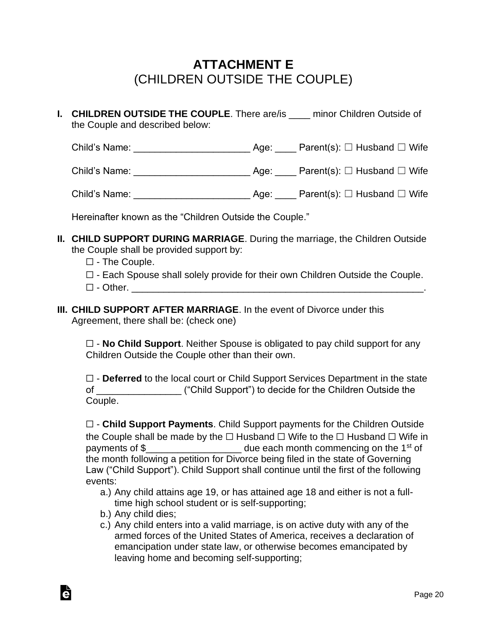## **ATTACHMENT E** (CHILDREN OUTSIDE THE COUPLE)

**I. CHILDREN OUTSIDE THE COUPLE**. There are/is \_\_\_\_ minor Children Outside of the Couple and described below:

Child's Name: <br>  $\begin{array}{ccc} \text{Child's Name:} & \text{Parent(s):} \ \Box & \text{Husband} \ \Box & \text{Wife} \end{array}$ 

Child's Name: \_\_\_\_\_\_\_\_\_\_\_\_\_\_\_\_\_\_\_\_\_\_ Age: \_\_\_\_ Parent(s): ☐ Husband ☐ Wife

Child's Name: \_\_\_\_\_\_\_\_\_\_\_\_\_\_\_\_\_\_\_\_\_\_ Age: \_\_\_\_ Parent(s): ☐ Husband ☐ Wife

Hereinafter known as the "Children Outside the Couple."

- **II. CHILD SUPPORT DURING MARRIAGE**. During the marriage, the Children Outside the Couple shall be provided support by:
	- ☐ The Couple.
	- ☐ Each Spouse shall solely provide for their own Children Outside the Couple.
	- $\Box$  Other.
- **III. CHILD SUPPORT AFTER MARRIAGE**. In the event of Divorce under this Agreement, there shall be: (check one)

☐ - **No Child Support**. Neither Spouse is obligated to pay child support for any Children Outside the Couple other than their own.

☐ - **Deferred** to the local court or Child Support Services Department in the state of \_\_\_\_\_\_\_\_\_\_\_\_\_\_\_\_ ("Child Support") to decide for the Children Outside the Couple.

☐ - **Child Support Payments**. Child Support payments for the Children Outside the Couple shall be made by the  $□$  Husband  $□$  Wife to the  $□$  Husband  $□$  Wife in payments of \$\_\_\_\_\_\_\_\_\_\_\_\_\_\_\_\_\_\_\_\_\_\_ due each month commencing on the 1<sup>st</sup> of the month following a petition for Divorce being filed in the state of Governing Law ("Child Support"). Child Support shall continue until the first of the following events:

- a.) Any child attains age 19, or has attained age 18 and either is not a fulltime high school student or is self-supporting;
- b.) Any child dies;

à

c.) Any child enters into a valid marriage, is on active duty with any of the armed forces of the United States of America, receives a declaration of emancipation under state law, or otherwise becomes emancipated by leaving home and becoming self-supporting;